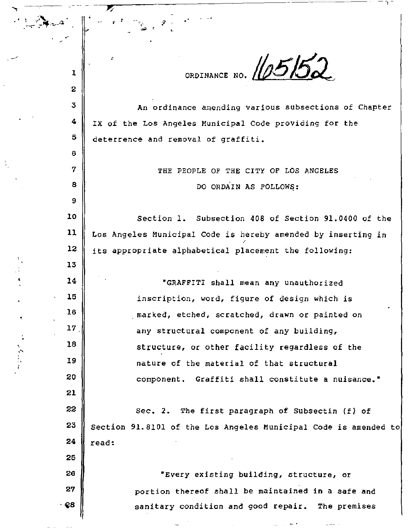ORDINANCE NO. **105152** 

**An ordinance amending various subsections of Chapter IX of the Los Angeles Municipal Code providing tor the deterrence and removal of graffiti.** 

' - -- -

7

..

1

2

:;;

4

5

6

7

8

9

13

14

15

16

17

18

19

20

21

22

23

24

25

26

27

·~B

·'

THE PEOPLE OF THE CITY OF LOS ANGELES DO ORDAIN AS FOLLOWS:

10 11 12 Section l. Subsection 408 of Section 91.0400 of the **Los Angeles Municipal Code** *is* **hereby amended by inserting in**  its appcopciate alphabetical placement the following:

> 'GRAFFITI shall mean any unauthorized **inscription, word, figure of design which is**  . **marked, etched, scratched, drawn or painted on**  any structural component of any building, structure, or other facility regardless of the **nature of the material of that structural component. Graffiti shall constitute a nuisance.•**

Sec. 2. The first paragraph of Subsectin (f) of Section 91.8101 of the Los Angeles Municipal Code is amended to read:

> **•Every existing building, structure, or portion thereof shall be maintained in a safe and sanitary condition and good repair. The premises**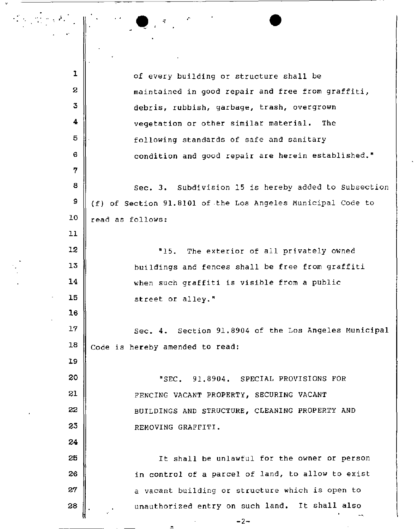| 1  | of every building or structure shall be                     |  |  |
|----|-------------------------------------------------------------|--|--|
| 2  | maintained in good repair and free from graffiti,           |  |  |
| 3  | debris, rubbish, garbage, trash, overgrown                  |  |  |
| 4  | vegetation or other similar material. The                   |  |  |
| 5  | following standards of safe and sanitary                    |  |  |
| 6  | condition and good repair are herein established."          |  |  |
| 7  |                                                             |  |  |
| 8  | Sec. 3. Subdivision 15 is hereby added to Subsection        |  |  |
| 9  | (f) of Section 91.8101 of the Los Angeles Municipal Code to |  |  |
| 10 | read as follows:                                            |  |  |
| 11 |                                                             |  |  |
| 12 | The exterior of all privately owned<br>"15.                 |  |  |
| 13 | buildings and fences shall be free from graffiti            |  |  |
| 14 | when such graffiti is visible from a public                 |  |  |
| 15 | street or alley."                                           |  |  |
| 16 |                                                             |  |  |
| 17 | Sec. 4. Section 91.8904 of the Los Angeles Municipal        |  |  |
| 18 | Code is hereby amended to read:                             |  |  |
| 19 |                                                             |  |  |
| 20 | "SEC. 91.8904. SPECIAL PROVISIONS FOR                       |  |  |
| 21 | FENCING VACANT PROPERTY, SECURING VACANT                    |  |  |
| 22 | BUILDINGS AND STRUCTURE, CLEANING PROPERTY AND              |  |  |
| 23 | REMOVING GRAFFITI.                                          |  |  |
| 24 |                                                             |  |  |
| 25 | It shall be unlawful for the owner or person                |  |  |
| 26 | in control of a parcel of land, to allow to exist           |  |  |
| 27 | a vacant building or structure which is open to             |  |  |
| 28 | unauthorized entry on such land. It shall also              |  |  |
|    | $-2-$                                                       |  |  |

 $\bullet$  .  $\bullet$  .  $\bullet$  .  $\bullet$  .  $\bullet$ 

..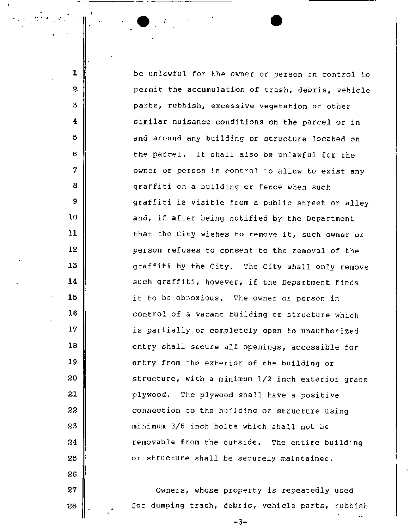be unlawful for the owner or person in control to permit the accumulation of trash, debris, vehicle parts, rubbish, excessive vegetation or other similar nuisance conditions on the parcel or in and around any building or structure located on the parcel. It shall also be unlawful for the owner or person in control to allow to exist any graffiti on a building or fence when such graffiti is visible from a public street or alley and, if after being notified by the Department that the *City* wishes to remove it, such owner or person refuses to consent to the removal of the graffiti by the City. The City shall only remove such graffiti, however, if the Department finds *it* to be obnoxious. The owner or person in control of a vacant building or structure which is partially or completely open to unauthorized entry shall secure all openings, accessible for entry from the exterior of the building or structure, with a minimum l/2 inch exterior grade plywood. The plywood shall have a positive connection to the building or structure using minimum 3/8 inch bolts which shall not be removable from the outside. The entire building or structure shall be securely maintained.

 $\bullet$  , and the set of  $\bullet$ 

 $\mathbf{r}$ 

'

1

2

3

4

5

6

7

8

9

10

11

12

13

14

15

16

17

18

19

20

21

22

23

24

25

26

27

28

owners, whose property is repeatedly used for dumping trash, debris, vehicle parts, rubbish

-3-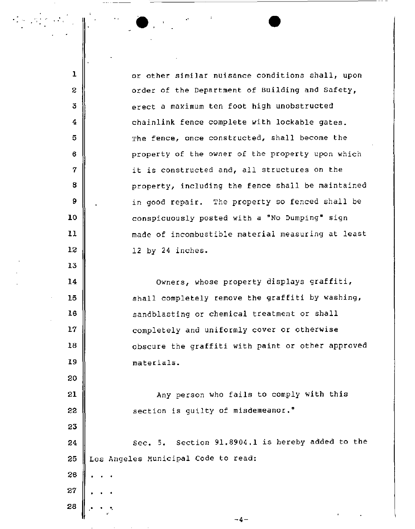or other similar nuisance conditions shall, upon order of the Department of Building and Safety, erect a maximum ten foot high unobstructed chainlink fence complete with lockable gates. The fence, once constructed, shall become the property of the owner of the property upon which it is constructed and, all structures on the property, including the fence shall be maintained in good repair. The property so fenced shall be conspicuously posted with a "No Dumping" sign made of incombustible material measuring at least 12 by 24 inches. Owners, whose property displays graffiti, shall completely remove the graffiti by washing, sandblasting or chemical treatment or shall completely and uniformly cover or otherwise obscure the graffiti with paint or other approved materials. Any person who fails to comply with this section is guilty of misdemeanor." 24 **||** Sec. 5. Section 91.8904.1 is hereby added to the 25 Los Angeles Municipal Code to read:

 $\bullet$ 

1

 $\mathcal{L} \in \mathcal{H}^1$  with

2

3

4

5

6

7

8

9

10

ll

12

13

14

15

16

17

18

19

20

21

22

23

26

27

28

-4-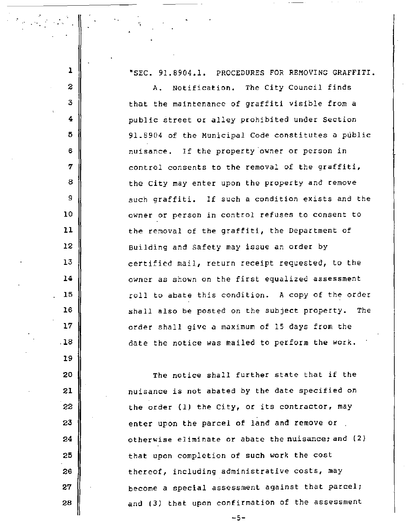"SEC. 91.8904.1. PROCEDURES FOR REMOVING GRAFFITI. A. Notification. The City Council finds that the maintenance of graffiti visible from a public street or alley prohibited under Section 91.8904 of the Municipal Code constitutes a public nuisance. If the property'owner or person in control consents to the removal of the graffiti, the City may enter upon the property and remove such graffiti. If such a condition exists and the owner or person *in* control refuses to consent to the removal of the graffiti, the Department of Building and Safety may issue an order by certified mail, return receipt requested, to the owner as shown on the first equalized assessment roll *to* abate *this* condition. A copy of the order shall also be posted on the subject property. The order shall give a maximum of 15 days from the date the notice was mailed to perform the work.

..

1

'

2

3

4

5

6

7

8

9

10

11

12

13

14

15

16

17

.18

19

20

21

22

23

24

25

26

27

28

The notice shall further state that if the nuisance is not abated by the date specified on the order (1) the City, or its contractor, may enter upon the parcel of land and remove or. otherwise eliminate or abate the nuisance; and (2} that upon completion of such work the cost thereof, including administrative costs, may become a special assessment against that parcel; and (3) that upon confirmation of the assessment

 $-5-$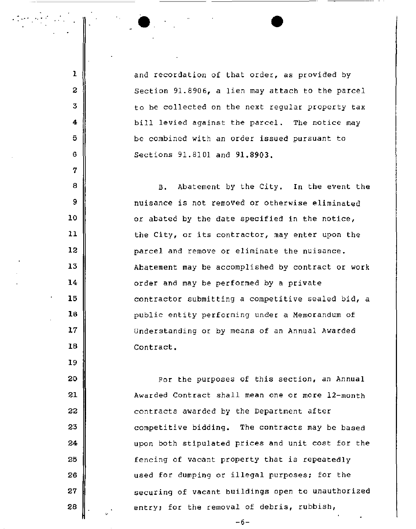and recordation of that order, as provided by Section 91.8906, a lien may attach to the parcel to be collected on the next regular property tax bill levied against the parcel. The notice may be combined with an order issued pursuant to Sections 91.8101 and 91.8903.

 $\overline{\bullet}$   $\overline{\bullet}$ 

•.·

1

2

3

4

5

6

7

8

9

10

11

12

13

14

15

16

17

16

19

20

21

22

23

24

25

26

27

28

B. Abatement by the City. In the event the nuisance is not removed or otherwise eliminated or abated by the date specified in the notice, the City, or its contractor, may enter upon the parcel and remove or eliminate the nuisance. Abatement may be accomplished by contract or work order and may be performed by a private contractor submitting a competitive sealed bid, a public entity performing under a Memorandum of Understanding or by means of an Annual Awarded Contract.

For the purposes of this section, an Annual Awarded Contract shall mean one or more 12-month contracts awarded by the Department after competitive bidding. The contracts may be based upon both stipulated prices and unit cost for the fencing of vacant property that is repeatedly used for dumping or illegal purposes; for the securing of vacant buildings open to unauthorized entry; for the removal of debris, rubbish,

-6-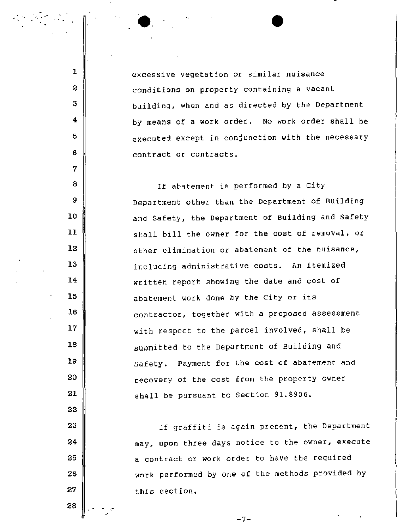excessive vegetation or similar nuisance conditions on property containing a vacant building, when and as directed by the Department by means of a work order. No work order shall be executed except in conjunction with the necessary contract or contracts.

 $\bullet$ 

. . .,  $\frac{1}{2}$ 

1

2

3

4

6

6

7

a

9

10

11

12

13

14

16

16

17

18

19

20

21

22

23

24

26

26

27

28

If abatement is performed by a City Department other than the Department of Building and Safety, the Department of Building and Safety shall bill the owner for the cost of removal, or other elimination or abatement of the nuisance, including administrative costs. An itemized written report showing the date and cost of abatement work done by the City or its contractor, together with a proposed assessment with respect to the parcel involved, shall be submitted to the Department of Building and Safety. Payment for the cost of abatement and recovery of the cost from the property owner shall be pursuant to Section 91.8906.

If graffiti is again present, the Department may, upon three days notice to the owner, execute a contract or work order to have the required work performed by one of the methods provided by this section.

-7-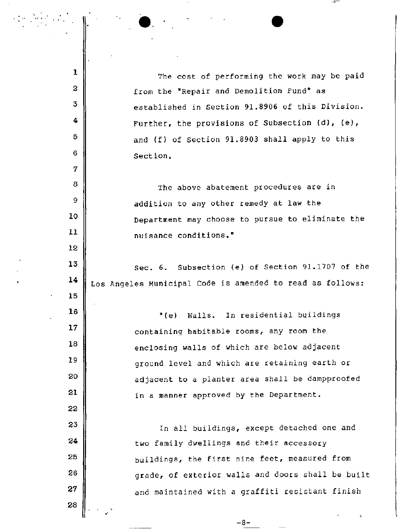The cost of performing the work may be paid from the "Repair and Demolition Fund" as established in Section 91.8906 of this Division. Further, the provisions of Subsection (d), (e), and (f) of Section 91.8903 shall apply to this Section,

 $\bullet$ 

1

2

3

4

5

6

7

8

9

10

11

12

13

15

16

17

18

19

20

21

22

23

24

25

26

27

28

•

The above abatement procedures are in addition to any other remedy at law the Department may choose to pursue to eliminate the nuisance conditions."

 $14$  Los Angeles Municipal Code is amended to read as follows: Sec. 6. Subsection (e) of Section 91.1707 of the

> "(e) Walls. In residential buildings containing habitable rooms, any room the enclosing walls of which are below adjacent ground level and which are retaining earth or adjacent to a planter area shall be dampproofed in a manner approved by the Department.

In all buildings, except detached one and two family dwellings and their accessory buildings, the first nine feet, measured from grade, of exterior walls and doors shall be built and maintained with a graffiti resistant finish

 $-8-$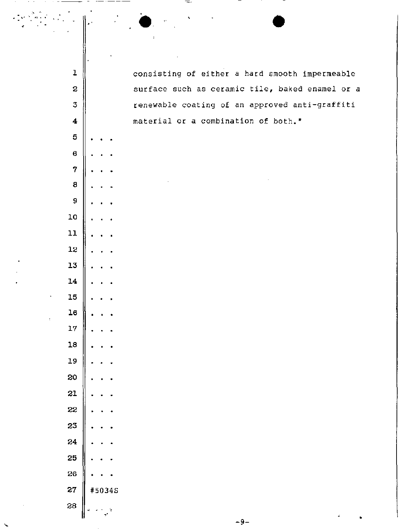| $\mathbf 1$                  |               | consisting of either a hard smooth impermeable  |
|------------------------------|---------------|-------------------------------------------------|
| $\mathbf 2$                  |               | surface such as ceramic tile, baked enamel or a |
| $\overline{3}$               |               | renewable coating of an approved anti-graffiti  |
| $\overline{\mathbf{4}}$      |               | material or a combination of both."             |
| $\bf 5$                      |               |                                                 |
| $\pmb{6}$                    |               |                                                 |
| 7                            |               |                                                 |
| $\bf8$                       |               |                                                 |
| 9                            |               |                                                 |
| 10                           |               |                                                 |
| 11                           |               |                                                 |
| 12                           |               |                                                 |
| 13                           |               |                                                 |
| 14                           |               |                                                 |
| 15                           |               |                                                 |
| ${\bf 16}$<br>$\mathfrak{r}$ |               |                                                 |
| 17                           |               |                                                 |
| 18                           |               |                                                 |
| 19                           |               |                                                 |
| 20                           |               |                                                 |
| 21                           |               |                                                 |
| 22                           |               |                                                 |
| 23                           |               |                                                 |
| 24                           |               |                                                 |
| 25                           |               |                                                 |
| 26                           |               |                                                 |
| 27                           | #5034S        |                                                 |
| 28                           | ę<br>A)<br>J. |                                                 |

1999 - Paul Barnett, amerikansk medaljski politik († 1939)<br>1909 - Johann Barnett, amerikansk medaljski politik<br>1909 - Paul Barnett, amerikansk medaljski politik († 1909)

Ń,